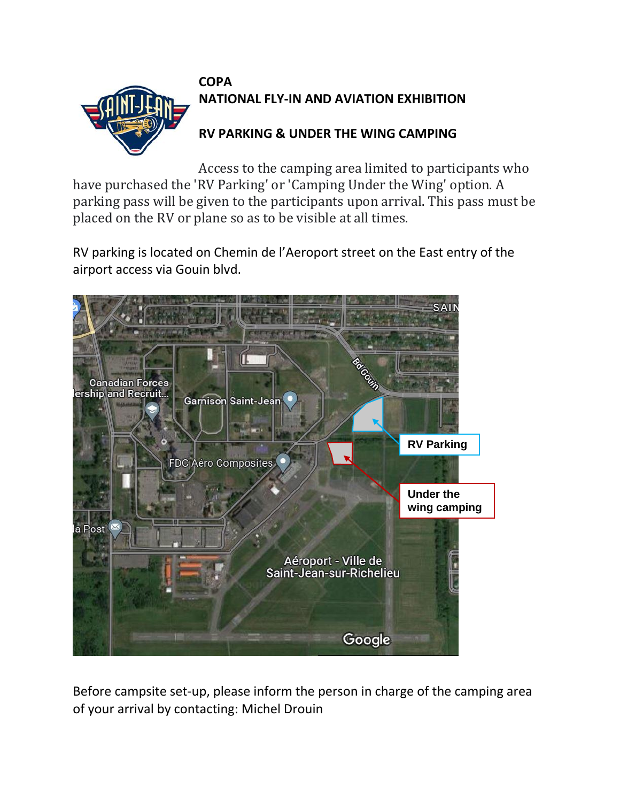

Access to the camping area limited to participants who have purchased the 'RV Parking' or 'Camping Under the Wing' option. A parking pass will be given to the participants upon arrival. This pass must be placed on the RV or plane so as to be visible at all times.

RV parking is located on Chemin de l'Aeroport street on the East entry of the airport access via Gouin blvd.



Before campsite set-up, please inform the person in charge of the camping area of your arrival by contacting: Michel Drouin